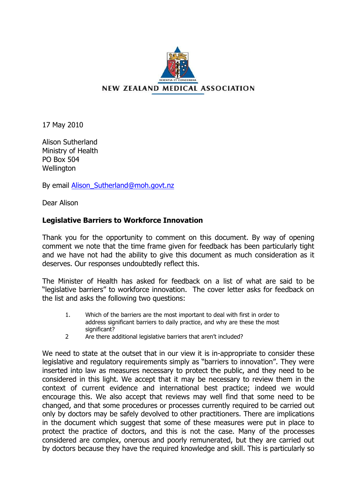

17 May 2010

Alison Sutherland Ministry of Health PO Box 504 Wellington

By email [Alison\\_Sutherland@moh.govt.nz](mailto:Alison_Sutherland@moh.govt.nz)

Dear Alison

## **Legislative Barriers to Workforce Innovation**

Thank you for the opportunity to comment on this document. By way of opening comment we note that the time frame given for feedback has been particularly tight and we have not had the ability to give this document as much consideration as it deserves. Our responses undoubtedly reflect this.

The Minister of Health has asked for feedback on a list of what are said to be "legislative barriers" to workforce innovation. The cover letter asks for feedback on the list and asks the following two questions:

- 1. Which of the barriers are the most important to deal with first in order to address significant barriers to daily practice, and why are these the most significant?
- 2 Are there additional legislative barriers that aren't included?

We need to state at the outset that in our view it is in-appropriate to consider these legislative and regulatory requirements simply as "barriers to innovation". They were inserted into law as measures necessary to protect the public, and they need to be considered in this light. We accept that it may be necessary to review them in the context of current evidence and international best practice; indeed we would encourage this. We also accept that reviews may well find that some need to be changed, and that some procedures or processes currently required to be carried out only by doctors may be safely devolved to other practitioners. There are implications in the document which suggest that some of these measures were put in place to protect the practice of doctors, and this is not the case. Many of the processes considered are complex, onerous and poorly remunerated, but they are carried out by doctors because they have the required knowledge and skill. This is particularly so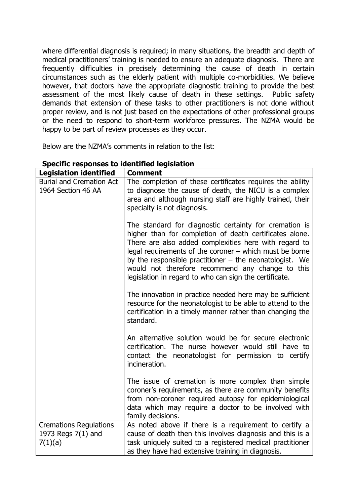where differential diagnosis is required; in many situations, the breadth and depth of medical practitioners' training is needed to ensure an adequate diagnosis. There are frequently difficulties in precisely determining the cause of death in certain circumstances such as the elderly patient with multiple co-morbidities. We believe however, that doctors have the appropriate diagnostic training to provide the best assessment of the most likely cause of death in these settings. Public safety demands that extension of these tasks to other practitioners is not done without proper review, and is not just based on the expectations of other professional groups or the need to respond to short-term workforce pressures. The NZMA would be happy to be part of review processes as they occur.

Below are the NZMA's comments in relation to the list:

| <b>Legislation identified</b>                                  | <b>Comment</b>                                                                                                                                                                                                                                                                                                                                                                                                     |
|----------------------------------------------------------------|--------------------------------------------------------------------------------------------------------------------------------------------------------------------------------------------------------------------------------------------------------------------------------------------------------------------------------------------------------------------------------------------------------------------|
| <b>Burial and Cremation Act</b><br>1964 Section 46 AA          | The completion of these certificates requires the ability<br>to diagnose the cause of death, the NICU is a complex<br>area and although nursing staff are highly trained, their<br>specialty is not diagnosis.                                                                                                                                                                                                     |
|                                                                | The standard for diagnostic certainty for cremation is<br>higher than for completion of death certificates alone.<br>There are also added complexities here with regard to<br>legal requirements of the coroner $-$ which must be borne<br>by the responsible practitioner $-$ the neonatologist. We<br>would not therefore recommend any change to this<br>legislation in regard to who can sign the certificate. |
|                                                                | The innovation in practice needed here may be sufficient<br>resource for the neonatologist to be able to attend to the<br>certification in a timely manner rather than changing the<br>standard.                                                                                                                                                                                                                   |
|                                                                | An alternative solution would be for secure electronic<br>certification. The nurse however would still have to<br>contact the neonatologist for permission to certify<br>incineration.                                                                                                                                                                                                                             |
|                                                                | The issue of cremation is more complex than simple<br>coroner's requirements, as there are community benefits<br>from non-coroner required autopsy for epidemiological<br>data which may require a doctor to be involved with<br>family decisions.                                                                                                                                                                 |
| <b>Cremations Regulations</b><br>1973 Regs 7(1) and<br>7(1)(a) | As noted above if there is a requirement to certify a<br>cause of death then this involves diagnosis and this is a<br>task uniquely suited to a registered medical practitioner<br>as they have had extensive training in diagnosis.                                                                                                                                                                               |

## **Specific responses to identified legislation**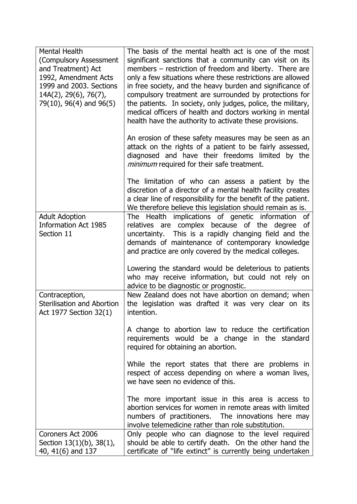| Mental Health<br>(Compulsory Assessment<br>and Treatment) Act<br>1992, Amendment Acts<br>1999 and 2003. Sections<br>$14A(2)$ , 29(6), 76(7),<br>79(10), 96(4) and 96(5) | The basis of the mental health act is one of the most<br>significant sanctions that a community can visit on its<br>members – restriction of freedom and liberty. There are<br>only a few situations where these restrictions are allowed<br>in free society, and the heavy burden and significance of<br>compulsory treatment are surrounded by protections for<br>the patients. In society, only judges, police, the military,<br>medical officers of health and doctors working in mental<br>health have the authority to activate these provisions. |
|-------------------------------------------------------------------------------------------------------------------------------------------------------------------------|---------------------------------------------------------------------------------------------------------------------------------------------------------------------------------------------------------------------------------------------------------------------------------------------------------------------------------------------------------------------------------------------------------------------------------------------------------------------------------------------------------------------------------------------------------|
|                                                                                                                                                                         | An erosion of these safety measures may be seen as an<br>attack on the rights of a patient to be fairly assessed,<br>diagnosed and have their freedoms limited by the<br><i>minimum</i> required for their safe treatment.                                                                                                                                                                                                                                                                                                                              |
|                                                                                                                                                                         | The limitation of who can assess a patient by the<br>discretion of a director of a mental health facility creates<br>a clear line of responsibility for the benefit of the patient.<br>We therefore believe this legislation should remain as is.                                                                                                                                                                                                                                                                                                       |
| <b>Adult Adoption</b><br><b>Information Act 1985</b><br>Section 11                                                                                                      | The Health implications of genetic information<br>of<br>relatives are complex because of the degree<br>_of<br>uncertainty. This is a rapidly changing field and the<br>demands of maintenance of contemporary knowledge<br>and practice are only covered by the medical colleges.                                                                                                                                                                                                                                                                       |
|                                                                                                                                                                         | Lowering the standard would be deleterious to patients<br>who may receive information, but could not rely on<br>advice to be diagnostic or prognostic.                                                                                                                                                                                                                                                                                                                                                                                                  |
| Contraception,<br><b>Sterilisation and Abortion</b><br>Act 1977 Section 32(1)                                                                                           | New Zealand does not have abortion on demand; when<br>the legislation was drafted it was very clear on its<br>intention.                                                                                                                                                                                                                                                                                                                                                                                                                                |
|                                                                                                                                                                         | A change to abortion law to reduce the certification<br>requirements would be a change in the standard<br>required for obtaining an abortion.                                                                                                                                                                                                                                                                                                                                                                                                           |
|                                                                                                                                                                         | While the report states that there are problems in<br>respect of access depending on where a woman lives,<br>we have seen no evidence of this.                                                                                                                                                                                                                                                                                                                                                                                                          |
|                                                                                                                                                                         | The more important issue in this area is access to<br>abortion services for women in remote areas with limited<br>numbers of practitioners. The innovations here may<br>involve telemedicine rather than role substitution.                                                                                                                                                                                                                                                                                                                             |
| Coroners Act 2006<br>Section $13(1)(b)$ , $38(1)$ ,<br>40, 41(6) and 137                                                                                                | Only people who can diagnose to the level required<br>should be able to certify death. On the other hand the<br>certificate of "life extinct" is currently being undertaken                                                                                                                                                                                                                                                                                                                                                                             |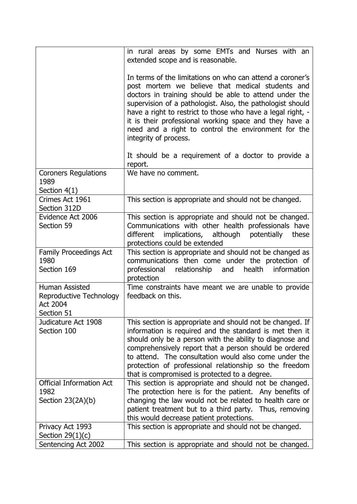|                                                                            | in rural areas by some EMTs and Nurses with an<br>extended scope and is reasonable.                                                                                                                                                                                                                                                                                                                                                                                                                   |
|----------------------------------------------------------------------------|-------------------------------------------------------------------------------------------------------------------------------------------------------------------------------------------------------------------------------------------------------------------------------------------------------------------------------------------------------------------------------------------------------------------------------------------------------------------------------------------------------|
|                                                                            | In terms of the limitations on who can attend a coroner's<br>post mortem we believe that medical students and<br>doctors in training should be able to attend under the<br>supervision of a pathologist. Also, the pathologist should<br>have a right to restrict to those who have a legal right, -<br>it is their professional working space and they have a<br>need and a right to control the environment for the<br>integrity of process.<br>It should be a requirement of a doctor to provide a |
|                                                                            | report.                                                                                                                                                                                                                                                                                                                                                                                                                                                                                               |
| <b>Coroners Regulations</b><br>1989<br>Section $4(1)$                      | We have no comment.                                                                                                                                                                                                                                                                                                                                                                                                                                                                                   |
| Crimes Act 1961<br>Section 312D                                            | This section is appropriate and should not be changed.                                                                                                                                                                                                                                                                                                                                                                                                                                                |
| Evidence Act 2006<br>Section 59                                            | This section is appropriate and should not be changed.<br>Communications with other health professionals have<br>different<br>implications, although<br>potentially<br>these<br>protections could be extended                                                                                                                                                                                                                                                                                         |
| <b>Family Proceedings Act</b><br>1980<br>Section 169                       | This section is appropriate and should not be changed as<br>communications then come under the protection of<br>relationship and<br>health<br>professional<br>information<br>protection                                                                                                                                                                                                                                                                                                               |
| Human Assisted<br>Reproductive Technology<br><b>Act 2004</b><br>Section 51 | Time constraints have meant we are unable to provide<br>feedback on this.                                                                                                                                                                                                                                                                                                                                                                                                                             |
| Judicature Act 1908<br>Section 100                                         | This section is appropriate and should not be changed. If<br>information is required and the standard is met then it<br>should only be a person with the ability to diagnose and<br>comprehensively report that a person should be ordered                                                                                                                                                                                                                                                            |
|                                                                            | to attend. The consultation would also come under the<br>protection of professional relationship so the freedom<br>that is compromised is protected to a degree.                                                                                                                                                                                                                                                                                                                                      |
| <b>Official Information Act</b><br>1982<br>Section $23(2A)(b)$             | This section is appropriate and should not be changed.<br>The protection here is for the patient. Any benefits of<br>changing the law would not be related to health care or<br>patient treatment but to a third party. Thus, removing<br>this would decrease patient protections.                                                                                                                                                                                                                    |
| Privacy Act 1993<br>Section $29(1)(c)$<br>Sentencing Act 2002              | This section is appropriate and should not be changed.<br>This section is appropriate and should not be changed.                                                                                                                                                                                                                                                                                                                                                                                      |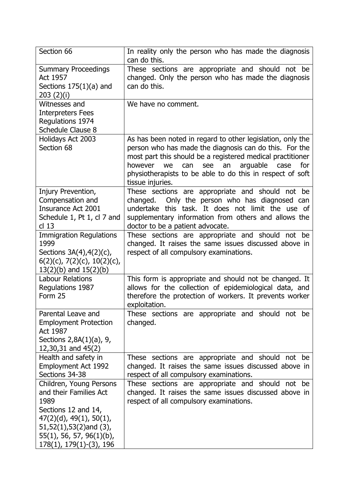| Section 66                       | In reality only the person who has made the diagnosis        |
|----------------------------------|--------------------------------------------------------------|
|                                  | can do this.                                                 |
| <b>Summary Proceedings</b>       | These sections are appropriate and should not be             |
| Act 1957                         | changed. Only the person who has made the diagnosis          |
| Sections $175(1)(a)$ and         | can do this.                                                 |
| 203(2)(i)                        |                                                              |
| Witnesses and                    | We have no comment.                                          |
| <b>Interpreters Fees</b>         |                                                              |
| Regulations 1974                 |                                                              |
| Schedule Clause 8                |                                                              |
| Holidays Act 2003                | As has been noted in regard to other legislation, only the   |
| Section 68                       | person who has made the diagnosis can do this. For the       |
|                                  | most part this should be a registered medical practitioner   |
|                                  | however<br>arguable<br>we<br>can<br>see<br>an<br>case<br>for |
|                                  | physiotherapists to be able to do this in respect of soft    |
|                                  | tissue injuries.                                             |
| Injury Prevention,               | These sections are appropriate and should not be             |
| Compensation and                 | Only the person who has diagnosed can<br>changed.            |
| Insurance Act 2001               | undertake this task. It does not limit the use of            |
| Schedule 1, Pt 1, cl 7 and       | supplementary information from others and allows the         |
| $cl$ 13                          | doctor to be a patient advocate.                             |
| <b>Immigration Regulations</b>   | These sections are appropriate and should not be             |
| 1999                             | changed. It raises the same issues discussed above in        |
| Sections $3A(4)$ , $4(2)(c)$ ,   | respect of all compulsory examinations.                      |
| $6(2)(c)$ , 7(2)(c), 10(2)(c),   |                                                              |
| $13(2)(b)$ and $15(2)(b)$        |                                                              |
| <b>Labour Relations</b>          | This form is appropriate and should not be changed. It       |
| Regulations 1987                 | allows for the collection of epidemiological data, and       |
| Form 25                          | therefore the protection of workers. It prevents worker      |
|                                  | exploitation.                                                |
| Parental Leave and               | These sections are appropriate and should not be             |
| <b>Employment Protection</b>     | changed.                                                     |
| Act 1987                         |                                                              |
| Sections 2,8A(1)(a), 9,          |                                                              |
| $12,30,31$ and $45(2)$           |                                                              |
| Health and safety in             | These sections are appropriate and should not be             |
| <b>Employment Act 1992</b>       | changed. It raises the same issues discussed above in        |
| Sections 34-38                   | respect of all compulsory examinations.                      |
| Children, Young Persons          | These sections are appropriate and should not be             |
| and their Families Act           | changed. It raises the same issues discussed above in        |
| 1989                             | respect of all compulsory examinations.                      |
| Sections 12 and 14,              |                                                              |
| $47(2)(d)$ , $49(1)$ , $50(1)$ , |                                                              |
| $51,52(1),53(2)$ and $(3),$      |                                                              |
| $55(1)$ , 56, 57, 96(1)(b),      |                                                              |
| $178(1), 179(1)-(3), 196$        |                                                              |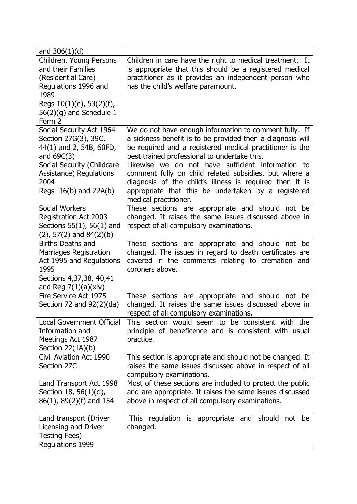| and $306(1)(d)$                  |                                                            |
|----------------------------------|------------------------------------------------------------|
| Children, Young Persons          | Children in care have the right to medical treatment. It   |
| and their Families               | is appropriate that this should be a registered medical    |
| (Residential Care)               | practitioner as it provides an independent person who      |
| Regulations 1996 and             | has the child's welfare paramount.                         |
| 1989                             |                                                            |
| Regs $10(1)(e)$ , 53(2)(f),      |                                                            |
| 56(2)(g) and Schedule 1          |                                                            |
| Form 2                           |                                                            |
| Social Security Act 1964         | We do not have enough information to comment fully. If     |
| Section 27G(3), 39C,             | a sickness benefit is to be provided then a diagnosis will |
| 44(1) and 2, 54B, 60FD,          | be required and a registered medical practitioner is the   |
| and $69C(3)$                     | best trained professional to undertake this.               |
| Social Security (Childcare       | Likewise we do not have sufficient information to          |
| Assistance) Regulations          | comment fully on child related subsidies, but where a      |
| 2004                             | diagnosis of the child's illness is required then it is    |
| Regs $16(b)$ and $22A(b)$        | appropriate that this be undertaken by a registered        |
|                                  | medical practitioner.                                      |
| Social Workers                   | These sections are appropriate and should not be           |
| Registration Act 2003            | changed. It raises the same issues discussed above in      |
| Sections $55(1)$ , $56(1)$ and   | respect of all compulsory examinations.                    |
| $(2), 57(2)$ and $84(2)(b)$      |                                                            |
| <b>Births Deaths and</b>         | These sections are appropriate and should not be           |
| Marriages Registration           | changed. The issues in regard to death certificates are    |
| Act 1995 and Regulations         | covered in the comments relating to cremation and          |
| 1995                             | coroners above.                                            |
| Sections 4,37,38, 40,41          |                                                            |
| and Reg $7(1)(a)(xiv)$           |                                                            |
| Fire Service Act 1975            | These sections are appropriate and should<br>not be        |
| Section 72 and $92(2)(da)$       | changed. It raises the same issues discussed above in      |
|                                  | respect of all compulsory examinations.                    |
| <b>Local Government Official</b> | This section would seem to be consistent with the          |
| Information and                  | principle of beneficence and is consistent with usual      |
| Meetings Act 1987                | practice.                                                  |
| Section $22(1A)(b)$              |                                                            |
| Civil Aviation Act 1990          | This section is appropriate and should not be changed. It  |
| Section 27C                      | raises the same issues discussed above in respect of all   |
|                                  | compulsory examinations.                                   |
| Land Transport Act 1998          | Most of these sections are included to protect the public  |
| Section 18, 56(1)(d),            | and are appropriate. It raises the same issues discussed   |
| 86(1), 89(2)(f) and 154          | above in respect of all compulsory examinations.           |
| Land transport (Driver           | This regulation is appropriate and should not be           |
| Licensing and Driver             | changed.                                                   |
| <b>Testing Fees)</b>             |                                                            |
| Regulations 1999                 |                                                            |
|                                  |                                                            |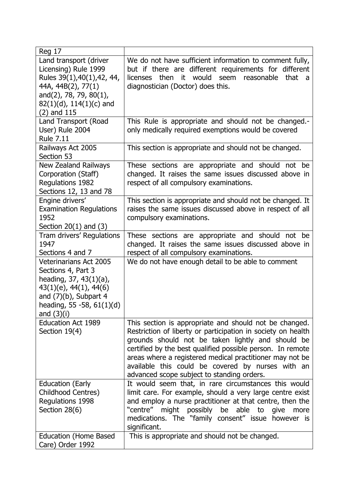| <b>Reg 17</b>                                                                                                                                                                              |                                                                                                                                                                                                                                                                                                                                                                                                          |
|--------------------------------------------------------------------------------------------------------------------------------------------------------------------------------------------|----------------------------------------------------------------------------------------------------------------------------------------------------------------------------------------------------------------------------------------------------------------------------------------------------------------------------------------------------------------------------------------------------------|
| Land transport (driver<br>Licensing) Rule 1999<br>Rules 39(1), 40(1), 42, 44,<br>44A, 44B(2), 77(1)<br>and(2), 78, 79, 80(1),<br>$82(1)(d)$ , 114(1)(c) and<br>$(2)$ and $115$             | We do not have sufficient information to comment fully,<br>but if there are different requirements for different<br>licenses then it would<br>seem reasonable<br>that<br>a<br>diagnostician (Doctor) does this.                                                                                                                                                                                          |
| Land Transport (Road<br>User) Rule 2004<br><b>Rule 7.11</b>                                                                                                                                | This Rule is appropriate and should not be changed.-<br>only medically required exemptions would be covered                                                                                                                                                                                                                                                                                              |
| Railways Act 2005<br>Section 53                                                                                                                                                            | This section is appropriate and should not be changed.                                                                                                                                                                                                                                                                                                                                                   |
| <b>New Zealand Railways</b><br>Corporation (Staff)<br>Regulations 1982<br>Sections 12, 13 and 78                                                                                           | These sections are appropriate and should not be<br>changed. It raises the same issues discussed above in<br>respect of all compulsory examinations.                                                                                                                                                                                                                                                     |
| Engine drivers'<br><b>Examination Regulations</b><br>1952<br>Section $20(1)$ and $(3)$                                                                                                     | This section is appropriate and should not be changed. It<br>raises the same issues discussed above in respect of all<br>compulsory examinations.                                                                                                                                                                                                                                                        |
| Tram drivers' Regulations<br>1947<br>Sections 4 and 7                                                                                                                                      | These sections are appropriate and should<br>not be<br>changed. It raises the same issues discussed above in<br>respect of all compulsory examinations.                                                                                                                                                                                                                                                  |
| <b>Veterinarians Act 2005</b><br>Sections 4, Part 3<br>heading, 37, 43(1)(a),<br>$43(1)(e)$ , $44(1)$ , $44(6)$<br>and $(7)(b)$ , Subpart 4<br>heading, 55 -58, $61(1)(d)$<br>and $(3)(i)$ | We do not have enough detail to be able to comment                                                                                                                                                                                                                                                                                                                                                       |
| <b>Education Act 1989</b><br>Section 19(4)                                                                                                                                                 | This section is appropriate and should not be changed.<br>Restriction of liberty or participation in society on health<br>grounds should not be taken lightly and should be<br>certified by the best qualified possible person. In remote<br>areas where a registered medical practitioner may not be<br>available this could be covered by nurses with an<br>advanced scope subject to standing orders. |
| <b>Education (Early</b><br>Childhood Centres)<br>Regulations 1998<br>Section 28(6)                                                                                                         | It would seem that, in rare circumstances this would<br>limit care. For example, should a very large centre exist<br>and employ a nurse practitioner at that centre, then the<br>might possibly be able to<br>"centre"<br>give<br>more<br>medications. The "family consent" issue<br>however is<br>significant.                                                                                          |
| <b>Education (Home Based</b><br>Care) Order 1992                                                                                                                                           | This is appropriate and should not be changed.                                                                                                                                                                                                                                                                                                                                                           |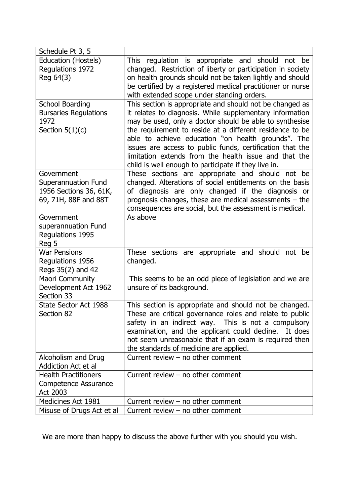| Schedule Pt 3, 5                                                                           |                                                                                                                                                                                                                                                                                                                                                                                                                                                                                 |
|--------------------------------------------------------------------------------------------|---------------------------------------------------------------------------------------------------------------------------------------------------------------------------------------------------------------------------------------------------------------------------------------------------------------------------------------------------------------------------------------------------------------------------------------------------------------------------------|
| Education (Hostels)<br>Regulations 1972<br>Reg 64(3)                                       | This regulation is appropriate and should not be<br>changed. Restriction of liberty or participation in society<br>on health grounds should not be taken lightly and should<br>be certified by a registered medical practitioner or nurse<br>with extended scope under standing orders.                                                                                                                                                                                         |
| <b>School Boarding</b><br><b>Bursaries Regulations</b><br>1972<br>Section $5(1)(c)$        | This section is appropriate and should not be changed as<br>it relates to diagnosis. While supplementary information<br>may be used, only a doctor should be able to synthesise<br>the requirement to reside at a different residence to be<br>able to achieve education "on health grounds". The<br>issues are access to public funds, certification that the<br>limitation extends from the health issue and that the<br>child is well enough to participate if they live in. |
| Government<br><b>Superannuation Fund</b><br>1956 Sections 36, 61K,<br>69, 71H, 88F and 88T | These sections are appropriate and should not be<br>changed. Alterations of social entitlements on the basis<br>of diagnosis are only changed if the diagnosis or<br>prognosis changes, these are medical assessments - the<br>consequences are social, but the assessment is medical.                                                                                                                                                                                          |
| Government<br>superannuation Fund<br>Regulations 1995<br>Reg 5                             | As above                                                                                                                                                                                                                                                                                                                                                                                                                                                                        |
| <b>War Pensions</b><br>Regulations 1956<br>Regs 35(2) and 42                               | These sections are appropriate and should<br>not be<br>changed.                                                                                                                                                                                                                                                                                                                                                                                                                 |
| <b>Maori Community</b><br>Development Act 1962<br>Section 33                               | This seems to be an odd piece of legislation and we are<br>unsure of its background.                                                                                                                                                                                                                                                                                                                                                                                            |
| State Sector Act 1988<br>Section 82                                                        | This section is appropriate and should not be changed.<br>These are critical governance roles and relate to public<br>safety in an indirect way. This is not a compulsory<br>examination, and the applicant could decline.<br>It does<br>not seem unreasonable that if an exam is required then<br>the standards of medicine are applied.                                                                                                                                       |
| Alcoholism and Drug<br><b>Addiction Act et al</b>                                          | Current review $-$ no other comment                                                                                                                                                                                                                                                                                                                                                                                                                                             |
| <b>Health Practitioners</b><br>Competence Assurance<br><b>Act 2003</b>                     | Current review $-$ no other comment                                                                                                                                                                                                                                                                                                                                                                                                                                             |
| Medicines Act 1981                                                                         | Current review $-$ no other comment                                                                                                                                                                                                                                                                                                                                                                                                                                             |
| Misuse of Drugs Act et al                                                                  | Current review $-$ no other comment                                                                                                                                                                                                                                                                                                                                                                                                                                             |

We are more than happy to discuss the above further with you should you wish.